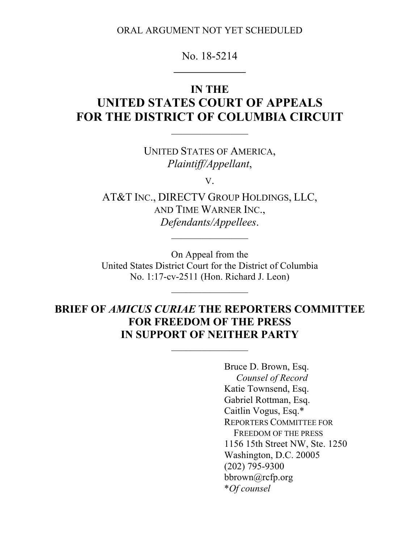ORAL ARGUMENT NOT YET SCHEDULED

# No. 18-5214

# **IN THE UNITED STATES COURT OF APPEALS FOR THE DISTRICT OF COLUMBIA CIRCUIT**

UNITED STATES OF AMERICA, *Plaintiff/Appellant*,

 $\mathcal{L}_\text{max}$  and  $\mathcal{L}_\text{max}$ 

V.

AT&T INC., DIRECTV GROUP HOLDINGS, LLC, AND TIME WARNER INC., *Defendants/Appellees*.

 $\mathcal{L}_\text{max}$ 

On Appeal from the United States District Court for the District of Columbia No. 1:17-cv-2511 (Hon. Richard J. Leon)

# **BRIEF OF** *AMICUS CURIAE* **THE REPORTERS COMMITTEE FOR FREEDOM OF THE PRESS IN SUPPORT OF NEITHER PARTY**

 $\mathcal{L}_\text{max}$  and  $\mathcal{L}_\text{max}$ 

Bruce D. Brown, Esq. *Counsel of Record* Katie Townsend, Esq. Gabriel Rottman, Esq. Caitlin Vogus, Esq.\* REPORTERS COMMITTEE FOR FREEDOM OF THE PRESS 1156 15th Street NW, Ste. 1250 Washington, D.C. 20005 (202) 795-9300 bbrown@rcfp.org \**Of counsel*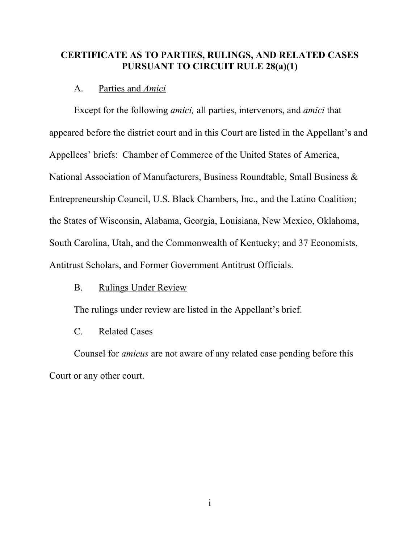# **CERTIFICATE AS TO PARTIES, RULINGS, AND RELATED CASES PURSUANT TO CIRCUIT RULE 28(a)(1)**

### A. Parties and *Amici*

Except for the following *amici,* all parties, intervenors, and *amici* that appeared before the district court and in this Court are listed in the Appellant's and Appellees' briefs: Chamber of Commerce of the United States of America, National Association of Manufacturers, Business Roundtable, Small Business & Entrepreneurship Council, U.S. Black Chambers, Inc., and the Latino Coalition; the States of Wisconsin, Alabama, Georgia, Louisiana, New Mexico, Oklahoma, South Carolina, Utah, and the Commonwealth of Kentucky; and 37 Economists, Antitrust Scholars, and Former Government Antitrust Officials.

### B. Rulings Under Review

The rulings under review are listed in the Appellant's brief.

#### C. Related Cases

Counsel for *amicus* are not aware of any related case pending before this Court or any other court.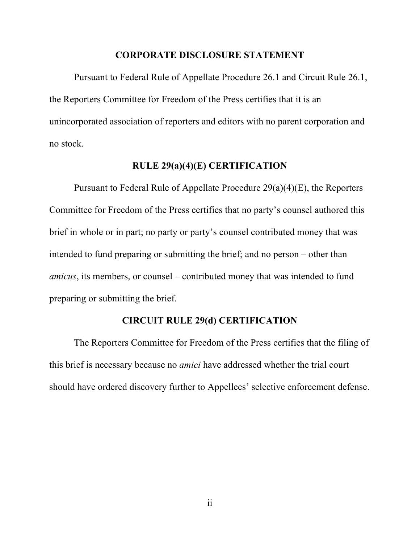#### **CORPORATE DISCLOSURE STATEMENT**

Pursuant to Federal Rule of Appellate Procedure 26.1 and Circuit Rule 26.1, the Reporters Committee for Freedom of the Press certifies that it is an unincorporated association of reporters and editors with no parent corporation and no stock.

### **RULE 29(a)(4)(E) CERTIFICATION**

Pursuant to Federal Rule of Appellate Procedure 29(a)(4)(E), the Reporters Committee for Freedom of the Press certifies that no party's counsel authored this brief in whole or in part; no party or party's counsel contributed money that was intended to fund preparing or submitting the brief; and no person – other than *amicus*, its members, or counsel – contributed money that was intended to fund preparing or submitting the brief.

# **CIRCUIT RULE 29(d) CERTIFICATION**

The Reporters Committee for Freedom of the Press certifies that the filing of this brief is necessary because no *amici* have addressed whether the trial court should have ordered discovery further to Appellees' selective enforcement defense.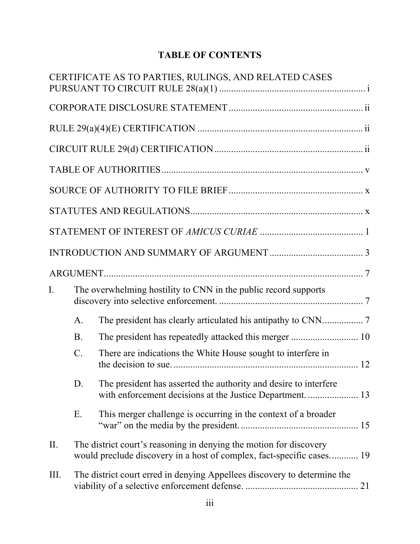# **TABLE OF CONTENTS**

|      |           | CERTIFICATE AS TO PARTIES, RULINGS, AND RELATED CASES                                                                                       |  |
|------|-----------|---------------------------------------------------------------------------------------------------------------------------------------------|--|
|      |           |                                                                                                                                             |  |
|      |           |                                                                                                                                             |  |
|      |           |                                                                                                                                             |  |
|      |           |                                                                                                                                             |  |
|      |           |                                                                                                                                             |  |
|      |           |                                                                                                                                             |  |
|      |           |                                                                                                                                             |  |
|      |           |                                                                                                                                             |  |
|      |           |                                                                                                                                             |  |
| I.   |           | The overwhelming hostility to CNN in the public record supports                                                                             |  |
|      | A.        |                                                                                                                                             |  |
|      | <b>B.</b> | The president has repeatedly attacked this merger  10                                                                                       |  |
|      | $C$ .     | There are indications the White House sought to interfere in                                                                                |  |
|      | D.        | The president has asserted the authority and desire to interfere                                                                            |  |
|      | Ε.        | This merger challenge is occurring in the context of a broader                                                                              |  |
| Π.   |           | The district court's reasoning in denying the motion for discovery<br>would preclude discovery in a host of complex, fact-specific cases 19 |  |
| III. |           | The district court erred in denying Appellees discovery to determine the                                                                    |  |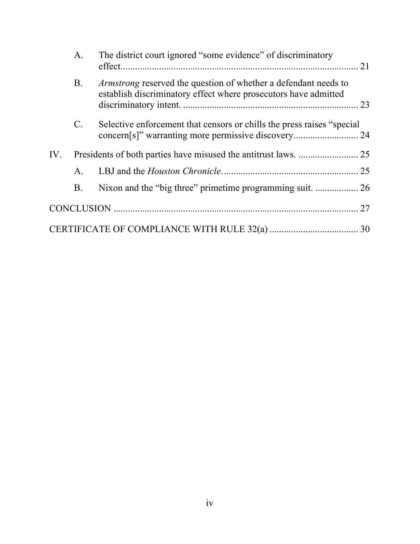|     | A.             | The district court ignored "some evidence" of discriminatory                                                                              |  |
|-----|----------------|-------------------------------------------------------------------------------------------------------------------------------------------|--|
|     | <b>B.</b>      | <i>Armstrong</i> reserved the question of whether a defendant needs to<br>establish discriminatory effect where prosecutors have admitted |  |
|     | $\mathbf{C}$ . | Selective enforcement that censors or chills the press raises "special                                                                    |  |
| IV. |                |                                                                                                                                           |  |
|     | A.             |                                                                                                                                           |  |
|     | B.             |                                                                                                                                           |  |
|     |                |                                                                                                                                           |  |
|     |                |                                                                                                                                           |  |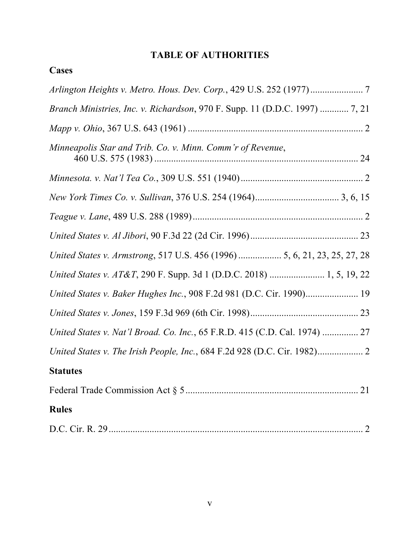# **TABLE OF AUTHORITIES**

| ases |
|------|
|------|

| Arlington Heights v. Metro. Hous. Dev. Corp., 429 U.S. 252 (1977)7          |
|-----------------------------------------------------------------------------|
| Branch Ministries, Inc. v. Richardson, 970 F. Supp. 11 (D.D.C. 1997)  7, 21 |
|                                                                             |
| Minneapolis Star and Trib. Co. v. Minn. Comm'r of Revenue,                  |
|                                                                             |
|                                                                             |
|                                                                             |
|                                                                             |
| United States v. Armstrong, 517 U.S. 456 (1996)  5, 6, 21, 23, 25, 27, 28   |
| United States v. AT&T, 290 F. Supp. 3d 1 (D.D.C. 2018)  1, 5, 19, 22        |
| United States v. Baker Hughes Inc., 908 F.2d 981 (D.C. Cir. 1990) 19        |
|                                                                             |
| United States v. Nat'l Broad. Co. Inc., 65 F.R.D. 415 (C.D. Cal. 1974)  27  |
|                                                                             |
| <b>Statutes</b>                                                             |
|                                                                             |
| <b>Rules</b>                                                                |
|                                                                             |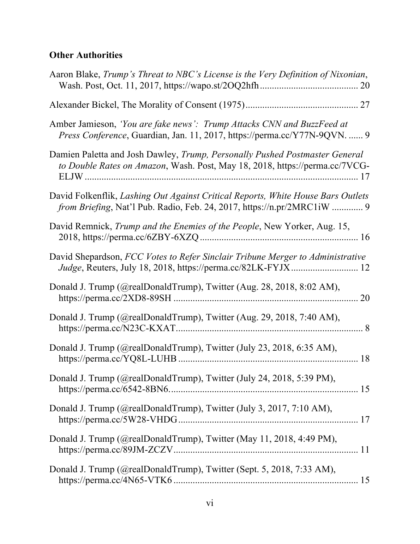# **Other Authorities**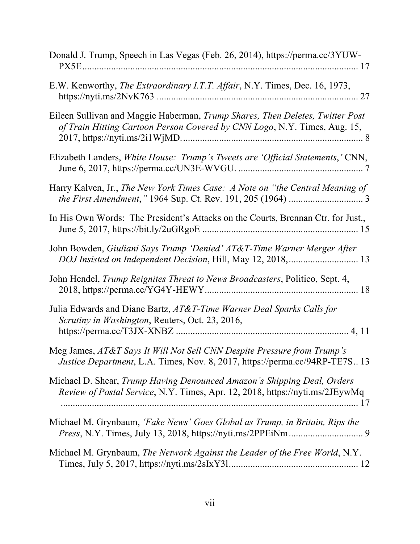| Donald J. Trump, Speech in Las Vegas (Feb. 26, 2014), https://perma.cc/3YUW-                                                                               |
|------------------------------------------------------------------------------------------------------------------------------------------------------------|
| E.W. Kenworthy, The Extraordinary I.T.T. Affair, N.Y. Times, Dec. 16, 1973,                                                                                |
| Eileen Sullivan and Maggie Haberman, Trump Shares, Then Deletes, Twitter Post<br>of Train Hitting Cartoon Person Covered by CNN Logo, N.Y. Times, Aug. 15, |
| Elizabeth Landers, White House: Trump's Tweets are 'Official Statements,' CNN,                                                                             |
| Harry Kalven, Jr., The New York Times Case: A Note on "the Central Meaning of                                                                              |
| In His Own Words: The President's Attacks on the Courts, Brennan Ctr. for Just.,                                                                           |
| John Bowden, Giuliani Says Trump 'Denied' AT&T-Time Warner Merger After<br>DOJ Insisted on Independent Decision, Hill, May 12, 2018,  13                   |
| John Hendel, Trump Reignites Threat to News Broadcasters, Politico, Sept. 4,                                                                               |
| Julia Edwards and Diane Bartz, AT&T-Time Warner Deal Sparks Calls for<br>Scrutiny in Washington, Reuters, Oct. 23, 2016,                                   |
| Meg James, AT&T Says It Will Not Sell CNN Despite Pressure from Trump's<br>Justice Department, L.A. Times, Nov. 8, 2017, https://perma.cc/94RP-TE7S 13     |
| Michael D. Shear, Trump Having Denounced Amazon's Shipping Deal, Orders<br>Review of Postal Service, N.Y. Times, Apr. 12, 2018, https://nyti.ms/2JEywMq    |
| Michael M. Grynbaum, 'Fake News' Goes Global as Trump, in Britain, Rips the                                                                                |
| Michael M. Grynbaum, The Network Against the Leader of the Free World, N.Y.                                                                                |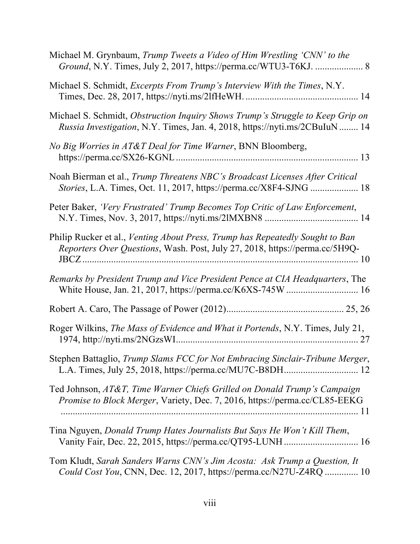| Michael M. Grynbaum, Trump Tweets a Video of Him Wrestling 'CNN' to the<br>Ground, N.Y. Times, July 2, 2017, https://perma.cc/WTU3-T6KJ.  8                  |
|--------------------------------------------------------------------------------------------------------------------------------------------------------------|
| Michael S. Schmidt, Excerpts From Trump's Interview With the Times, N.Y.                                                                                     |
| Michael S. Schmidt, Obstruction Inquiry Shows Trump's Struggle to Keep Grip on<br>Russia Investigation, N.Y. Times, Jan. 4, 2018, https://nyti.ms/2CBuIuN 14 |
| No Big Worries in AT&T Deal for Time Warner, BNN Bloomberg,                                                                                                  |
| Noah Bierman et al., Trump Threatens NBC's Broadcast Licenses After Critical<br>Stories, L.A. Times, Oct. 11, 2017, https://perma.cc/X8F4-SJNG  18           |
| Peter Baker, 'Very Frustrated' Trump Becomes Top Critic of Law Enforcement,                                                                                  |
| Philip Rucker et al., Venting About Press, Trump has Repeatedly Sought to Ban<br>Reporters Over Questions, Wash. Post, July 27, 2018, https://perma.cc/5H9Q- |
| Remarks by President Trump and Vice President Pence at CIA Headquarters, The                                                                                 |
|                                                                                                                                                              |
| Roger Wilkins, The Mass of Evidence and What it Portends, N.Y. Times, July 21,                                                                               |
| Stephen Battaglio, Trump Slams FCC for Not Embracing Sinclair-Tribune Merger,                                                                                |
| Ted Johnson, AT&T, Time Warner Chiefs Grilled on Donald Trump's Campaign<br>Promise to Block Merger, Variety, Dec. 7, 2016, https://perma.cc/CL85-EEKG       |
| Tina Nguyen, Donald Trump Hates Journalists But Says He Won't Kill Them,                                                                                     |
| Tom Kludt, Sarah Sanders Warns CNN's Jim Acosta: Ask Trump a Question, It<br>Could Cost You, CNN, Dec. 12, 2017, https://perma.cc/N27U-Z4RQ  10              |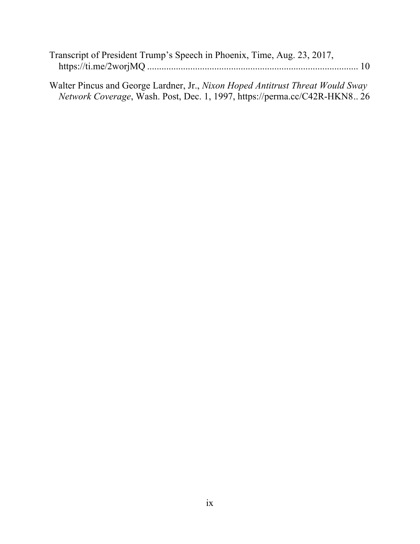| Transcript of President Trump's Speech in Phoenix, Time, Aug. 23, 2017, |  |
|-------------------------------------------------------------------------|--|
|                                                                         |  |

Walter Pincus and George Lardner, Jr., *Nixon Hoped Antitrust Threat Would Sway Network Coverage*, Wash. Post, Dec. 1, 1997, https://perma.cc/C42R-HKN8.. 26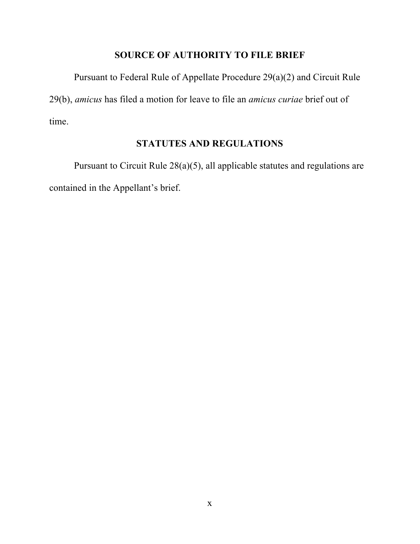# **SOURCE OF AUTHORITY TO FILE BRIEF**

Pursuant to Federal Rule of Appellate Procedure 29(a)(2) and Circuit Rule 29(b), *amicus* has filed a motion for leave to file an *amicus curiae* brief out of time.

# **STATUTES AND REGULATIONS**

Pursuant to Circuit Rule 28(a)(5), all applicable statutes and regulations are contained in the Appellant's brief.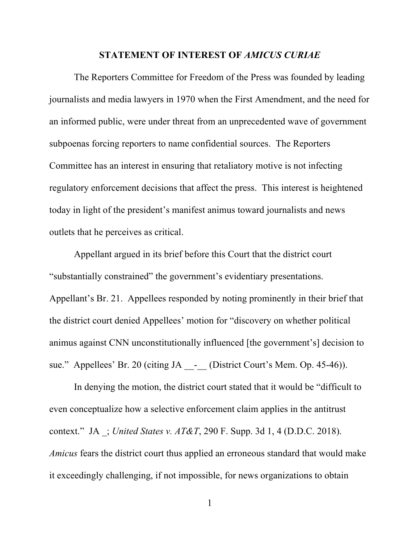### **STATEMENT OF INTEREST OF** *AMICUS CURIAE*

The Reporters Committee for Freedom of the Press was founded by leading journalists and media lawyers in 1970 when the First Amendment, and the need for an informed public, were under threat from an unprecedented wave of government subpoenas forcing reporters to name confidential sources. The Reporters Committee has an interest in ensuring that retaliatory motive is not infecting regulatory enforcement decisions that affect the press. This interest is heightened today in light of the president's manifest animus toward journalists and news outlets that he perceives as critical.

Appellant argued in its brief before this Court that the district court "substantially constrained" the government's evidentiary presentations. Appellant's Br. 21. Appellees responded by noting prominently in their brief that the district court denied Appellees' motion for "discovery on whether political animus against CNN unconstitutionally influenced [the government's] decision to sue." Appellees' Br. 20 (citing JA - (District Court's Mem. Op. 45-46)).

In denying the motion, the district court stated that it would be "difficult to even conceptualize how a selective enforcement claim applies in the antitrust context." JA \_; *United States v. AT&T*, 290 F. Supp. 3d 1, 4 (D.D.C. 2018). *Amicus* fears the district court thus applied an erroneous standard that would make it exceedingly challenging, if not impossible, for news organizations to obtain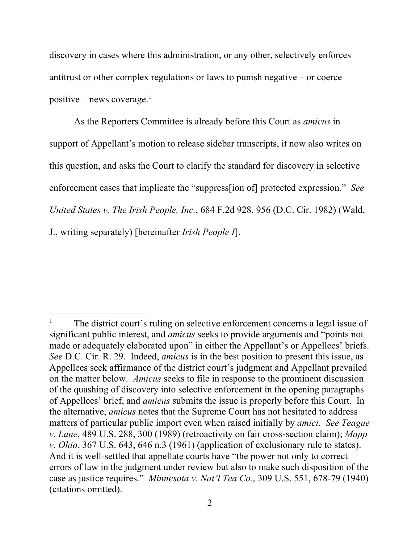discovery in cases where this administration, or any other, selectively enforces antitrust or other complex regulations or laws to punish negative – or coerce positive – news coverage. $<sup>1</sup>$ </sup>

As the Reporters Committee is already before this Court as *amicus* in support of Appellant's motion to release sidebar transcripts, it now also writes on this question, and asks the Court to clarify the standard for discovery in selective enforcement cases that implicate the "suppress[ion of] protected expression." *See United States v. The Irish People, Inc.*, 684 F.2d 928, 956 (D.C. Cir. 1982) (Wald, J., writing separately) [hereinafter *Irish People I*].

 $\overline{a}$ 

The district court's ruling on selective enforcement concerns a legal issue of significant public interest, and *amicus* seeks to provide arguments and "points not made or adequately elaborated upon" in either the Appellant's or Appellees' briefs. *See* D.C. Cir. R. 29. Indeed, *amicus* is in the best position to present this issue, as Appellees seek affirmance of the district court's judgment and Appellant prevailed on the matter below. *Amicus* seeks to file in response to the prominent discussion of the quashing of discovery into selective enforcement in the opening paragraphs of Appellees' brief, and *amicus* submits the issue is properly before this Court. In the alternative, *amicus* notes that the Supreme Court has not hesitated to address matters of particular public import even when raised initially by *amici*. *See Teague v. Lane*, 489 U.S. 288, 300 (1989) (retroactivity on fair cross-section claim); *Mapp v. Ohio*, 367 U.S. 643, 646 n.3 (1961) (application of exclusionary rule to states). And it is well-settled that appellate courts have "the power not only to correct errors of law in the judgment under review but also to make such disposition of the case as justice requires." *Minnesota v. Nat'l Tea Co.*, 309 U.S. 551, 678-79 (1940) (citations omitted).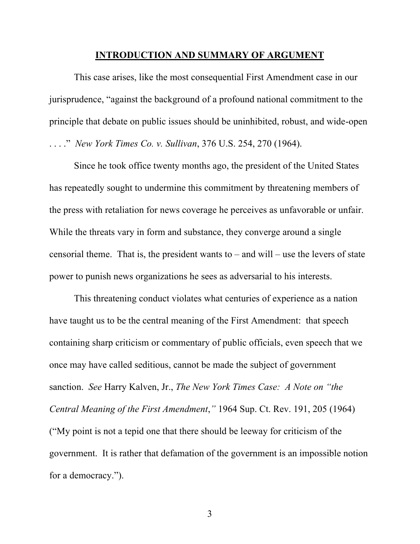#### **INTRODUCTION AND SUMMARY OF ARGUMENT**

This case arises, like the most consequential First Amendment case in our jurisprudence, "against the background of a profound national commitment to the principle that debate on public issues should be uninhibited, robust, and wide-open . . . ." *New York Times Co. v. Sullivan*, 376 U.S. 254, 270 (1964).

Since he took office twenty months ago, the president of the United States has repeatedly sought to undermine this commitment by threatening members of the press with retaliation for news coverage he perceives as unfavorable or unfair. While the threats vary in form and substance, they converge around a single censorial theme. That is, the president wants to – and will – use the levers of state power to punish news organizations he sees as adversarial to his interests.

This threatening conduct violates what centuries of experience as a nation have taught us to be the central meaning of the First Amendment: that speech containing sharp criticism or commentary of public officials, even speech that we once may have called seditious, cannot be made the subject of government sanction. *See* Harry Kalven, Jr., *The New York Times Case: A Note on "the Central Meaning of the First Amendment*,*"* 1964 Sup. Ct. Rev. 191, 205 (1964) ("My point is not a tepid one that there should be leeway for criticism of the government. It is rather that defamation of the government is an impossible notion for a democracy.").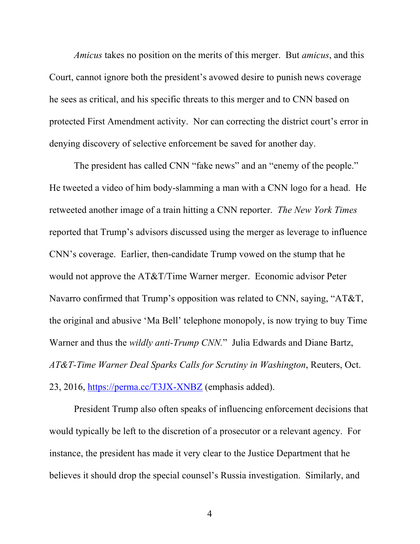*Amicus* takes no position on the merits of this merger. But *amicus*, and this Court, cannot ignore both the president's avowed desire to punish news coverage he sees as critical, and his specific threats to this merger and to CNN based on protected First Amendment activity. Nor can correcting the district court's error in denying discovery of selective enforcement be saved for another day.

The president has called CNN "fake news" and an "enemy of the people." He tweeted a video of him body-slamming a man with a CNN logo for a head. He retweeted another image of a train hitting a CNN reporter. *The New York Times* reported that Trump's advisors discussed using the merger as leverage to influence CNN's coverage. Earlier, then-candidate Trump vowed on the stump that he would not approve the AT&T/Time Warner merger. Economic advisor Peter Navarro confirmed that Trump's opposition was related to CNN, saying, "AT&T, the original and abusive 'Ma Bell' telephone monopoly, is now trying to buy Time Warner and thus the *wildly anti-Trump CNN.*" Julia Edwards and Diane Bartz, *AT&T-Time Warner Deal Sparks Calls for Scrutiny in Washington*, Reuters, Oct. 23, 2016, https://perma.cc/T3JX-XNBZ (emphasis added).

President Trump also often speaks of influencing enforcement decisions that would typically be left to the discretion of a prosecutor or a relevant agency. For instance, the president has made it very clear to the Justice Department that he believes it should drop the special counsel's Russia investigation. Similarly, and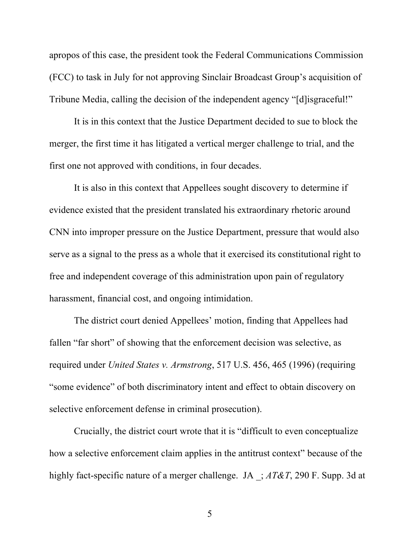apropos of this case, the president took the Federal Communications Commission (FCC) to task in July for not approving Sinclair Broadcast Group's acquisition of Tribune Media, calling the decision of the independent agency "[d]isgraceful!"

It is in this context that the Justice Department decided to sue to block the merger, the first time it has litigated a vertical merger challenge to trial, and the first one not approved with conditions, in four decades.

It is also in this context that Appellees sought discovery to determine if evidence existed that the president translated his extraordinary rhetoric around CNN into improper pressure on the Justice Department, pressure that would also serve as a signal to the press as a whole that it exercised its constitutional right to free and independent coverage of this administration upon pain of regulatory harassment, financial cost, and ongoing intimidation.

The district court denied Appellees' motion, finding that Appellees had fallen "far short" of showing that the enforcement decision was selective, as required under *United States v. Armstrong*, 517 U.S. 456, 465 (1996) (requiring "some evidence" of both discriminatory intent and effect to obtain discovery on selective enforcement defense in criminal prosecution).

Crucially, the district court wrote that it is "difficult to even conceptualize how a selective enforcement claim applies in the antitrust context" because of the highly fact-specific nature of a merger challenge. JA \_; *AT&T*, 290 F. Supp. 3d at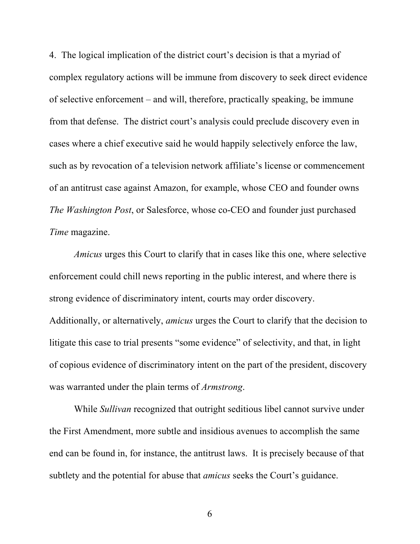4. The logical implication of the district court's decision is that a myriad of complex regulatory actions will be immune from discovery to seek direct evidence of selective enforcement – and will, therefore, practically speaking, be immune from that defense. The district court's analysis could preclude discovery even in cases where a chief executive said he would happily selectively enforce the law, such as by revocation of a television network affiliate's license or commencement of an antitrust case against Amazon, for example, whose CEO and founder owns *The Washington Post*, or Salesforce, whose co-CEO and founder just purchased *Time* magazine.

*Amicus* urges this Court to clarify that in cases like this one, where selective enforcement could chill news reporting in the public interest, and where there is strong evidence of discriminatory intent, courts may order discovery. Additionally, or alternatively, *amicus* urges the Court to clarify that the decision to litigate this case to trial presents "some evidence" of selectivity, and that, in light of copious evidence of discriminatory intent on the part of the president, discovery was warranted under the plain terms of *Armstrong*.

While *Sullivan* recognized that outright seditious libel cannot survive under the First Amendment, more subtle and insidious avenues to accomplish the same end can be found in, for instance, the antitrust laws. It is precisely because of that subtlety and the potential for abuse that *amicus* seeks the Court's guidance.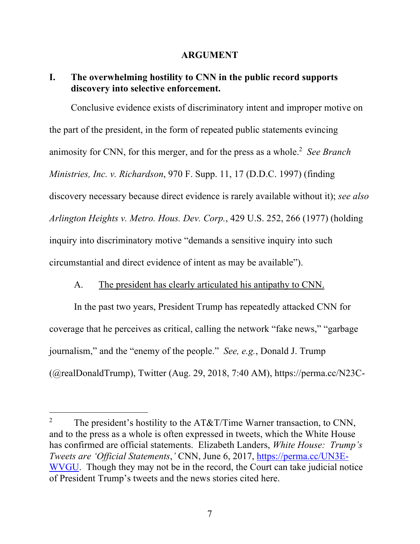## **ARGUMENT**

## **I. The overwhelming hostility to CNN in the public record supports discovery into selective enforcement.**

Conclusive evidence exists of discriminatory intent and improper motive on the part of the president, in the form of repeated public statements evincing animosity for CNN, for this merger, and for the press as a whole.2 *See Branch Ministries, Inc. v. Richardson*, 970 F. Supp. 11, 17 (D.D.C. 1997) (finding discovery necessary because direct evidence is rarely available without it); *see also Arlington Heights v. Metro. Hous. Dev. Corp.*, 429 U.S. 252, 266 (1977) (holding inquiry into discriminatory motive "demands a sensitive inquiry into such circumstantial and direct evidence of intent as may be available").

# A. The president has clearly articulated his antipathy to CNN.

In the past two years, President Trump has repeatedly attacked CNN for coverage that he perceives as critical, calling the network "fake news," "garbage journalism," and the "enemy of the people." *See, e.g.*, Donald J. Trump (@realDonaldTrump), Twitter (Aug. 29, 2018, 7:40 AM), https://perma.cc/N23C-

 $\overline{a}$ 

<sup>&</sup>lt;sup>2</sup> The president's hostility to the AT&T/Time Warner transaction, to CNN, and to the press as a whole is often expressed in tweets, which the White House has confirmed are official statements. Elizabeth Landers, *White House: Trump's Tweets are 'Official Statements*,*'* CNN, June 6, 2017, https://perma.cc/UN3E-WVGU. Though they may not be in the record, the Court can take judicial notice of President Trump's tweets and the news stories cited here.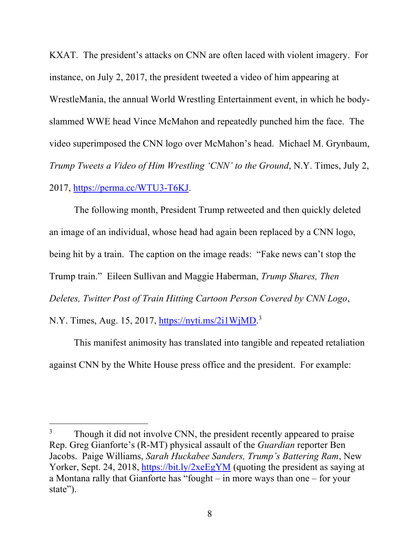KXAT. The president's attacks on CNN are often laced with violent imagery. For instance, on July 2, 2017, the president tweeted a video of him appearing at WrestleMania, the annual World Wrestling Entertainment event, in which he bodyslammed WWE head Vince McMahon and repeatedly punched him the face. The video superimposed the CNN logo over McMahon's head. Michael M. Grynbaum, *Trump Tweets a Video of Him Wrestling 'CNN' to the Ground*, N.Y. Times, July 2, 2017, https://perma.cc/WTU3-T6KJ.

The following month, President Trump retweeted and then quickly deleted an image of an individual, whose head had again been replaced by a CNN logo, being hit by a train. The caption on the image reads: "Fake news can't stop the Trump train." Eileen Sullivan and Maggie Haberman, *Trump Shares, Then Deletes, Twitter Post of Train Hitting Cartoon Person Covered by CNN Logo*, N.Y. Times, Aug. 15, 2017, https://nyti.ms/2i1WjMD.<sup>3</sup>

This manifest animosity has translated into tangible and repeated retaliation against CNN by the White House press office and the president. For example:

 $\overline{a}$ 

<sup>&</sup>lt;sup>3</sup> Though it did not involve CNN, the president recently appeared to praise Rep. Greg Gianforte's (R-MT) physical assault of the *Guardian* reporter Ben Jacobs. Paige Williams, *Sarah Huckabee Sanders, Trump's Battering Ram*, New Yorker, Sept. 24, 2018, https://bit.ly/2xeEgYM (quoting the president as saying at a Montana rally that Gianforte has "fought – in more ways than one – for your state").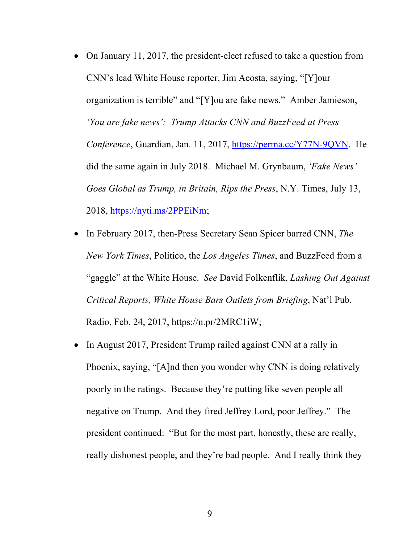- On January 11, 2017, the president-elect refused to take a question from CNN's lead White House reporter, Jim Acosta, saying, "[Y]our organization is terrible" and "[Y]ou are fake news." Amber Jamieson, *'You are fake news': Trump Attacks CNN and BuzzFeed at Press Conference*, Guardian, Jan. 11, 2017, https://perma.cc/Y77N-9QVN. He did the same again in July 2018. Michael M. Grynbaum, *'Fake News' Goes Global as Trump, in Britain, Rips the Press*, N.Y. Times, July 13, 2018, https://nyti.ms/2PPEiNm;
- In February 2017, then-Press Secretary Sean Spicer barred CNN, *The New York Times*, Politico, the *Los Angeles Times*, and BuzzFeed from a "gaggle" at the White House. *See* David Folkenflik, *Lashing Out Against Critical Reports, White House Bars Outlets from Briefing*, Nat'l Pub. Radio, Feb. 24, 2017, https://n.pr/2MRC1iW;
- In August 2017, President Trump railed against CNN at a rally in Phoenix, saying, "[A]nd then you wonder why CNN is doing relatively poorly in the ratings. Because they're putting like seven people all negative on Trump. And they fired Jeffrey Lord, poor Jeffrey." The president continued: "But for the most part, honestly, these are really, really dishonest people, and they're bad people. And I really think they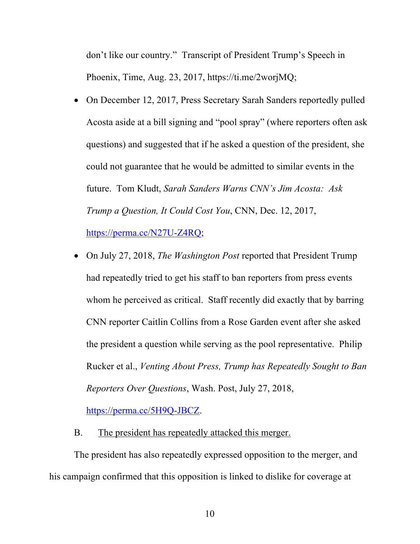don't like our country." Transcript of President Trump's Speech in Phoenix, Time, Aug. 23, 2017, https://ti.me/2worjMQ;

- On December 12, 2017, Press Secretary Sarah Sanders reportedly pulled Acosta aside at a bill signing and "pool spray" (where reporters often ask questions) and suggested that if he asked a question of the president, she could not guarantee that he would be admitted to similar events in the future. Tom Kludt, *Sarah Sanders Warns CNN's Jim Acosta: Ask Trump a Question, It Could Cost You*, CNN, Dec. 12, 2017, https://perma.cc/N27U-Z4RQ;
- On July 27, 2018, *The Washington Post* reported that President Trump had repeatedly tried to get his staff to ban reporters from press events whom he perceived as critical. Staff recently did exactly that by barring CNN reporter Caitlin Collins from a Rose Garden event after she asked the president a question while serving as the pool representative. Philip Rucker et al., *Venting About Press, Trump has Repeatedly Sought to Ban Reporters Over Questions*, Wash. Post, July 27, 2018,

https://perma.cc/5H9Q-JBCZ.

B. The president has repeatedly attacked this merger.

The president has also repeatedly expressed opposition to the merger, and his campaign confirmed that this opposition is linked to dislike for coverage at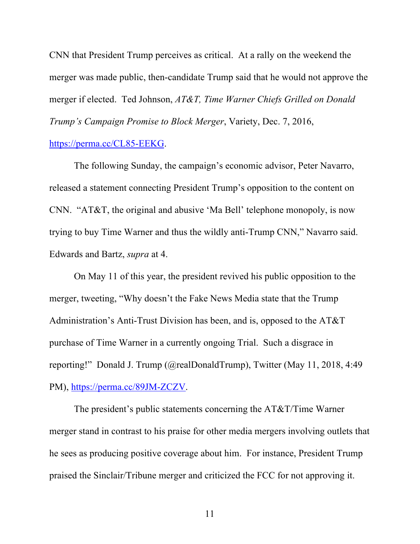CNN that President Trump perceives as critical. At a rally on the weekend the merger was made public, then-candidate Trump said that he would not approve the merger if elected. Ted Johnson, *AT&T, Time Warner Chiefs Grilled on Donald Trump's Campaign Promise to Block Merger*, Variety, Dec. 7, 2016,

### https://perma.cc/CL85-EEKG.

The following Sunday, the campaign's economic advisor, Peter Navarro, released a statement connecting President Trump's opposition to the content on CNN. "AT&T, the original and abusive 'Ma Bell' telephone monopoly, is now trying to buy Time Warner and thus the wildly anti-Trump CNN," Navarro said. Edwards and Bartz, *supra* at 4.

On May 11 of this year, the president revived his public opposition to the merger, tweeting, "Why doesn't the Fake News Media state that the Trump Administration's Anti-Trust Division has been, and is, opposed to the AT&T purchase of Time Warner in a currently ongoing Trial. Such a disgrace in reporting!" Donald J. Trump (@realDonaldTrump), Twitter (May 11, 2018, 4:49 PM), https://perma.cc/89JM-ZCZV.

The president's public statements concerning the AT&T/Time Warner merger stand in contrast to his praise for other media mergers involving outlets that he sees as producing positive coverage about him. For instance, President Trump praised the Sinclair/Tribune merger and criticized the FCC for not approving it.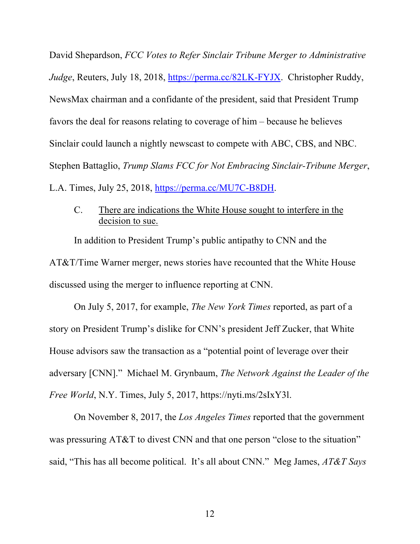David Shepardson, *FCC Votes to Refer Sinclair Tribune Merger to Administrative Judge*, Reuters, July 18, 2018, https://perma.cc/82LK-FYJX. Christopher Ruddy, NewsMax chairman and a confidante of the president, said that President Trump favors the deal for reasons relating to coverage of him – because he believes Sinclair could launch a nightly newscast to compete with ABC, CBS, and NBC. Stephen Battaglio, *Trump Slams FCC for Not Embracing Sinclair-Tribune Merger*, L.A. Times, July 25, 2018, https://perma.cc/MU7C-B8DH.

# C. There are indications the White House sought to interfere in the decision to sue.

In addition to President Trump's public antipathy to CNN and the AT&T/Time Warner merger, news stories have recounted that the White House discussed using the merger to influence reporting at CNN.

On July 5, 2017, for example, *The New York Times* reported, as part of a story on President Trump's dislike for CNN's president Jeff Zucker, that White House advisors saw the transaction as a "potential point of leverage over their adversary [CNN]." Michael M. Grynbaum, *The Network Against the Leader of the Free World*, N.Y. Times, July 5, 2017, https://nyti.ms/2sIxY3l.

On November 8, 2017, the *Los Angeles Times* reported that the government was pressuring AT&T to divest CNN and that one person "close to the situation" said, "This has all become political. It's all about CNN." Meg James, *AT&T Says*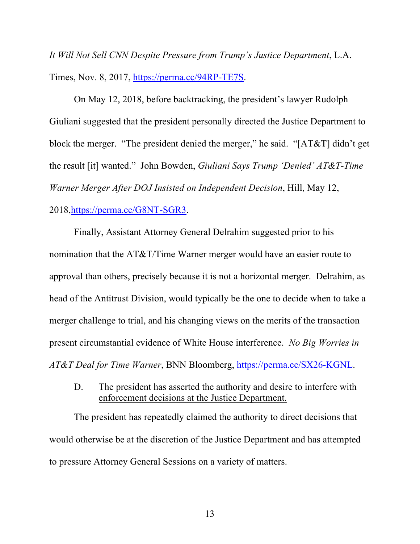*It Will Not Sell CNN Despite Pressure from Trump's Justice Department*, L.A. Times, Nov. 8, 2017, https://perma.cc/94RP-TE7S.

On May 12, 2018, before backtracking, the president's lawyer Rudolph Giuliani suggested that the president personally directed the Justice Department to block the merger. "The president denied the merger," he said. "[AT&T] didn't get the result [it] wanted." John Bowden, *Giuliani Says Trump 'Denied' AT&T-Time Warner Merger After DOJ Insisted on Independent Decision*, Hill, May 12, 2018,https://perma.cc/G8NT-SGR3.

Finally, Assistant Attorney General Delrahim suggested prior to his nomination that the AT&T/Time Warner merger would have an easier route to approval than others, precisely because it is not a horizontal merger. Delrahim, as head of the Antitrust Division, would typically be the one to decide when to take a merger challenge to trial, and his changing views on the merits of the transaction present circumstantial evidence of White House interference. *No Big Worries in AT&T Deal for Time Warner*, BNN Bloomberg, https://perma.cc/SX26-KGNL.

D. The president has asserted the authority and desire to interfere with enforcement decisions at the Justice Department.

The president has repeatedly claimed the authority to direct decisions that would otherwise be at the discretion of the Justice Department and has attempted to pressure Attorney General Sessions on a variety of matters.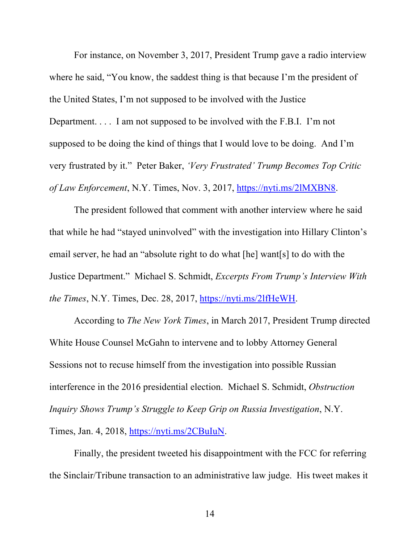For instance, on November 3, 2017, President Trump gave a radio interview where he said, "You know, the saddest thing is that because I'm the president of the United States, I'm not supposed to be involved with the Justice Department. . . . I am not supposed to be involved with the F.B.I. I'm not supposed to be doing the kind of things that I would love to be doing. And I'm very frustrated by it." Peter Baker, *'Very Frustrated' Trump Becomes Top Critic of Law Enforcement*, N.Y. Times, Nov. 3, 2017, https://nyti.ms/2lMXBN8.

The president followed that comment with another interview where he said that while he had "stayed uninvolved" with the investigation into Hillary Clinton's email server, he had an "absolute right to do what [he] want[s] to do with the Justice Department." Michael S. Schmidt, *Excerpts From Trump's Interview With the Times*, N.Y. Times, Dec. 28, 2017, https://nyti.ms/2lfHeWH.

According to *The New York Times*, in March 2017, President Trump directed White House Counsel McGahn to intervene and to lobby Attorney General Sessions not to recuse himself from the investigation into possible Russian interference in the 2016 presidential election. Michael S. Schmidt, *Obstruction Inquiry Shows Trump's Struggle to Keep Grip on Russia Investigation*, N.Y. Times, Jan. 4, 2018, https://nyti.ms/2CBuIuN.

Finally, the president tweeted his disappointment with the FCC for referring the Sinclair/Tribune transaction to an administrative law judge. His tweet makes it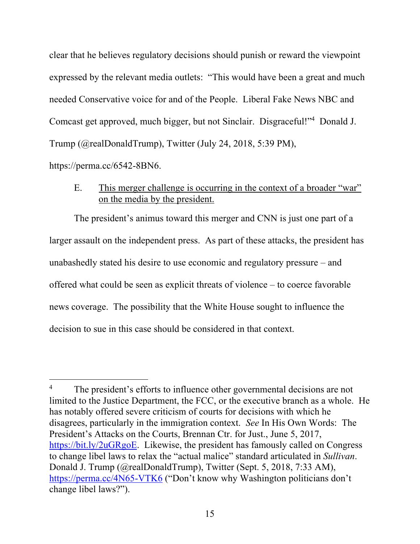clear that he believes regulatory decisions should punish or reward the viewpoint expressed by the relevant media outlets: "This would have been a great and much needed Conservative voice for and of the People. Liberal Fake News NBC and Comcast get approved, much bigger, but not Sinclair. Disgraceful!"4 Donald J. Trump (@realDonaldTrump), Twitter (July 24, 2018, 5:39 PM), https://perma.cc/6542-8BN6.

E. This merger challenge is occurring in the context of a broader "war" on the media by the president.

The president's animus toward this merger and CNN is just one part of a larger assault on the independent press. As part of these attacks, the president has unabashedly stated his desire to use economic and regulatory pressure – and offered what could be seen as explicit threats of violence – to coerce favorable news coverage. The possibility that the White House sought to influence the decision to sue in this case should be considered in that context.

 $\overline{a}$ 

The president's efforts to influence other governmental decisions are not limited to the Justice Department, the FCC, or the executive branch as a whole. He has notably offered severe criticism of courts for decisions with which he disagrees, particularly in the immigration context. *See* In His Own Words: The President's Attacks on the Courts, Brennan Ctr. for Just., June 5, 2017, https://bit.ly/2uGRgoE. Likewise, the president has famously called on Congress to change libel laws to relax the "actual malice" standard articulated in *Sullivan*. Donald J. Trump (@realDonaldTrump), Twitter (Sept. 5, 2018, 7:33 AM), https://perma.cc/4N65-VTK6 ("Don't know why Washington politicians don't change libel laws?").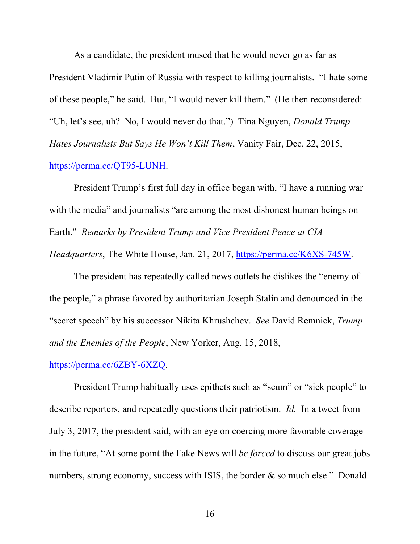As a candidate, the president mused that he would never go as far as President Vladimir Putin of Russia with respect to killing journalists. "I hate some of these people," he said. But, "I would never kill them." (He then reconsidered: "Uh, let's see, uh? No, I would never do that.") Tina Nguyen, *Donald Trump Hates Journalists But Says He Won't Kill Them*, Vanity Fair, Dec. 22, 2015, https://perma.cc/QT95-LUNH.

President Trump's first full day in office began with, "I have a running war with the media" and journalists "are among the most dishonest human beings on Earth." *Remarks by President Trump and Vice President Pence at CIA Headquarters*, The White House, Jan. 21, 2017, https://perma.cc/K6XS-745W.

The president has repeatedly called news outlets he dislikes the "enemy of the people," a phrase favored by authoritarian Joseph Stalin and denounced in the "secret speech" by his successor Nikita Khrushchev. *See* David Remnick, *Trump and the Enemies of the People*, New Yorker, Aug. 15, 2018,

#### https://perma.cc/6ZBY-6XZQ.

President Trump habitually uses epithets such as "scum" or "sick people" to describe reporters, and repeatedly questions their patriotism. *Id.* In a tweet from July 3, 2017, the president said, with an eye on coercing more favorable coverage in the future, "At some point the Fake News will *be forced* to discuss our great jobs numbers, strong economy, success with ISIS, the border & so much else." Donald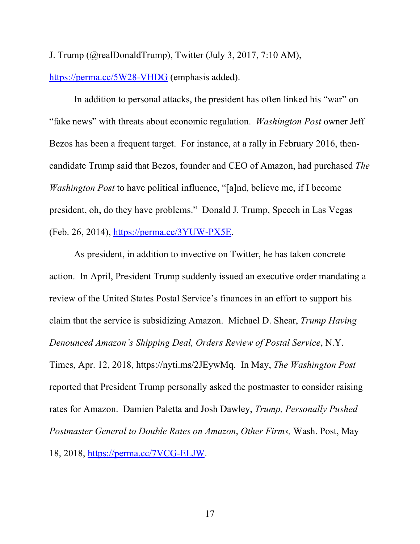J. Trump (@realDonaldTrump), Twitter (July 3, 2017, 7:10 AM),

https://perma.cc/5W28-VHDG (emphasis added).

In addition to personal attacks, the president has often linked his "war" on "fake news" with threats about economic regulation. *Washington Post* owner Jeff Bezos has been a frequent target. For instance, at a rally in February 2016, thencandidate Trump said that Bezos, founder and CEO of Amazon, had purchased *The Washington Post* to have political influence, "[a]nd, believe me, if I become president, oh, do they have problems." Donald J. Trump, Speech in Las Vegas (Feb. 26, 2014), https://perma.cc/3YUW-PX5E.

As president, in addition to invective on Twitter, he has taken concrete action. In April, President Trump suddenly issued an executive order mandating a review of the United States Postal Service's finances in an effort to support his claim that the service is subsidizing Amazon. Michael D. Shear, *Trump Having Denounced Amazon's Shipping Deal, Orders Review of Postal Service*, N.Y. Times, Apr. 12, 2018, https://nyti.ms/2JEywMq. In May, *The Washington Post* reported that President Trump personally asked the postmaster to consider raising rates for Amazon. Damien Paletta and Josh Dawley, *Trump, Personally Pushed Postmaster General to Double Rates on Amazon*, *Other Firms,* Wash. Post, May

18, 2018, https://perma.cc/7VCG-ELJW.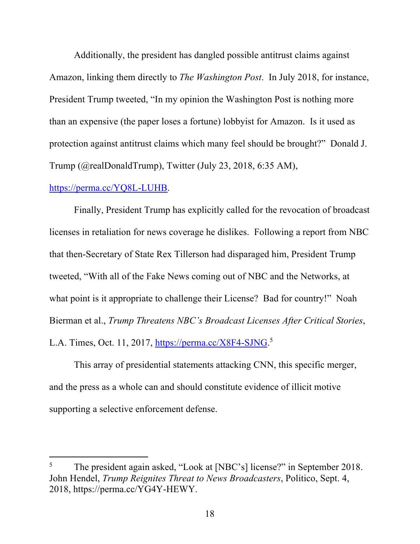Additionally, the president has dangled possible antitrust claims against Amazon, linking them directly to *The Washington Post*. In July 2018, for instance, President Trump tweeted, "In my opinion the Washington Post is nothing more than an expensive (the paper loses a fortune) lobbyist for Amazon. Is it used as protection against antitrust claims which many feel should be brought?" Donald J. Trump (@realDonaldTrump), Twitter (July 23, 2018, 6:35 AM),

### https://perma.cc/YQ8L-LUHB.

 $\overline{a}$ 

Finally, President Trump has explicitly called for the revocation of broadcast licenses in retaliation for news coverage he dislikes. Following a report from NBC that then-Secretary of State Rex Tillerson had disparaged him, President Trump tweeted, "With all of the Fake News coming out of NBC and the Networks, at what point is it appropriate to challenge their License? Bad for country!" Noah Bierman et al., *Trump Threatens NBC's Broadcast Licenses After Critical Stories*, L.A. Times, Oct. 11, 2017, https://perma.cc/X8F4-SJNG.<sup>5</sup>

This array of presidential statements attacking CNN, this specific merger, and the press as a whole can and should constitute evidence of illicit motive supporting a selective enforcement defense.

<sup>&</sup>lt;sup>5</sup> The president again asked, "Look at [NBC's] license?" in September 2018. John Hendel, *Trump Reignites Threat to News Broadcasters*, Politico, Sept. 4, 2018, https://perma.cc/YG4Y-HEWY.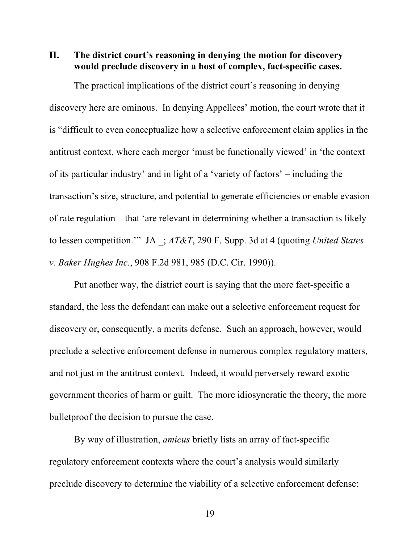**II. The district court's reasoning in denying the motion for discovery would preclude discovery in a host of complex, fact-specific cases.**

The practical implications of the district court's reasoning in denying discovery here are ominous. In denying Appellees' motion, the court wrote that it is "difficult to even conceptualize how a selective enforcement claim applies in the antitrust context, where each merger 'must be functionally viewed' in 'the context of its particular industry' and in light of a 'variety of factors' – including the transaction's size, structure, and potential to generate efficiencies or enable evasion of rate regulation – that 'are relevant in determining whether a transaction is likely to lessen competition.'" JA \_; *AT&T*, 290 F. Supp. 3d at 4 (quoting *United States v. Baker Hughes Inc.*, 908 F.2d 981, 985 (D.C. Cir. 1990)).

Put another way, the district court is saying that the more fact-specific a standard, the less the defendant can make out a selective enforcement request for discovery or, consequently, a merits defense. Such an approach, however, would preclude a selective enforcement defense in numerous complex regulatory matters, and not just in the antitrust context. Indeed, it would perversely reward exotic government theories of harm or guilt. The more idiosyncratic the theory, the more bulletproof the decision to pursue the case.

By way of illustration, *amicus* briefly lists an array of fact-specific regulatory enforcement contexts where the court's analysis would similarly preclude discovery to determine the viability of a selective enforcement defense: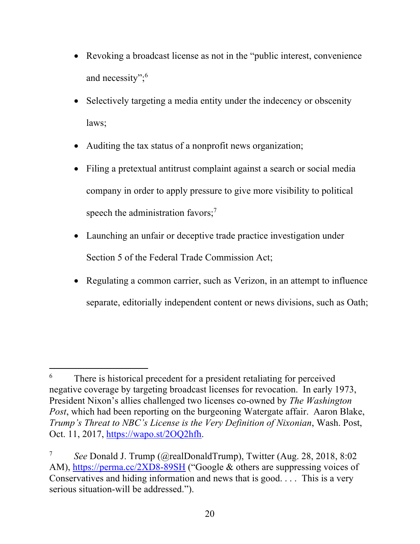- Revoking a broadcast license as not in the "public interest, convenience" and necessity";<sup>6</sup>
- Selectively targeting a media entity under the indecency or obscenity laws;
- Auditing the tax status of a nonprofit news organization;
- Filing a pretextual antitrust complaint against a search or social media company in order to apply pressure to give more visibility to political speech the administration favors;<sup>7</sup>
- Launching an unfair or deceptive trade practice investigation under Section 5 of the Federal Trade Commission Act;
- Regulating a common carrier, such as Verizon, in an attempt to influence separate, editorially independent content or news divisions, such as Oath;

 $\overline{a}$ 

 $6\,$  There is historical precedent for a president retaliating for perceived negative coverage by targeting broadcast licenses for revocation. In early 1973, President Nixon's allies challenged two licenses co-owned by *The Washington Post*, which had been reporting on the burgeoning Watergate affair. Aaron Blake, *Trump's Threat to NBC's License is the Very Definition of Nixonian*, Wash. Post, Oct. 11, 2017, https://wapo.st/2OQ2hfh.

<sup>7</sup> *See* Donald J. Trump (@realDonaldTrump), Twitter (Aug. 28, 2018, 8:02 AM), https://perma.cc/2XD8-89SH ("Google & others are suppressing voices of Conservatives and hiding information and news that is good. . . . This is a very serious situation-will be addressed.").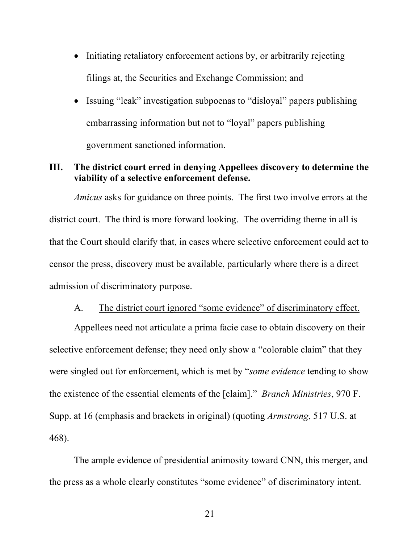- Initiating retaliatory enforcement actions by, or arbitrarily rejecting filings at, the Securities and Exchange Commission; and
- Issuing "leak" investigation subpoenas to "disloyal" papers publishing embarrassing information but not to "loyal" papers publishing government sanctioned information.

# **III. The district court erred in denying Appellees discovery to determine the viability of a selective enforcement defense.**

*Amicus* asks for guidance on three points. The first two involve errors at the district court. The third is more forward looking. The overriding theme in all is that the Court should clarify that, in cases where selective enforcement could act to censor the press, discovery must be available, particularly where there is a direct admission of discriminatory purpose.

## A. The district court ignored "some evidence" of discriminatory effect.

Appellees need not articulate a prima facie case to obtain discovery on their selective enforcement defense; they need only show a "colorable claim" that they were singled out for enforcement, which is met by "*some evidence* tending to show the existence of the essential elements of the [claim]." *Branch Ministries*, 970 F. Supp. at 16 (emphasis and brackets in original) (quoting *Armstrong*, 517 U.S. at 468).

The ample evidence of presidential animosity toward CNN, this merger, and the press as a whole clearly constitutes "some evidence" of discriminatory intent.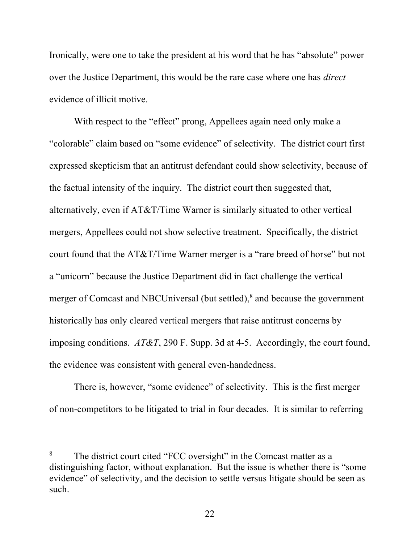Ironically, were one to take the president at his word that he has "absolute" power over the Justice Department, this would be the rare case where one has *direct* evidence of illicit motive.

With respect to the "effect" prong, Appellees again need only make a "colorable" claim based on "some evidence" of selectivity. The district court first expressed skepticism that an antitrust defendant could show selectivity, because of the factual intensity of the inquiry. The district court then suggested that, alternatively, even if AT&T/Time Warner is similarly situated to other vertical mergers, Appellees could not show selective treatment. Specifically, the district court found that the AT&T/Time Warner merger is a "rare breed of horse" but not a "unicorn" because the Justice Department did in fact challenge the vertical merger of Comcast and NBCUniversal (but settled),<sup>8</sup> and because the government historically has only cleared vertical mergers that raise antitrust concerns by imposing conditions. *AT&T*, 290 F. Supp. 3d at 4-5. Accordingly, the court found, the evidence was consistent with general even-handedness.

There is, however, "some evidence" of selectivity. This is the first merger of non-competitors to be litigated to trial in four decades. It is similar to referring

l

<sup>&</sup>lt;sup>8</sup> The district court cited "FCC oversight" in the Comcast matter as a distinguishing factor, without explanation. But the issue is whether there is "some evidence" of selectivity, and the decision to settle versus litigate should be seen as such.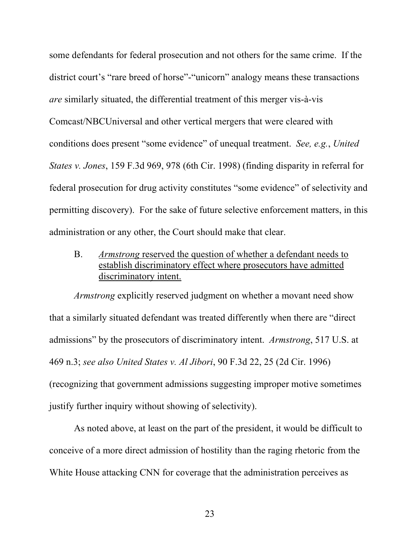some defendants for federal prosecution and not others for the same crime. If the district court's "rare breed of horse"-"unicorn" analogy means these transactions *are* similarly situated, the differential treatment of this merger vis-à-vis Comcast/NBCUniversal and other vertical mergers that were cleared with conditions does present "some evidence" of unequal treatment. *See, e.g.*, *United States v. Jones*, 159 F.3d 969, 978 (6th Cir. 1998) (finding disparity in referral for federal prosecution for drug activity constitutes "some evidence" of selectivity and permitting discovery). For the sake of future selective enforcement matters, in this administration or any other, the Court should make that clear.

B. *Armstrong* reserved the question of whether a defendant needs to establish discriminatory effect where prosecutors have admitted discriminatory intent.

*Armstrong* explicitly reserved judgment on whether a movant need show that a similarly situated defendant was treated differently when there are "direct admissions" by the prosecutors of discriminatory intent. *Armstrong*, 517 U.S. at 469 n.3; *see also United States v. Al Jibori*, 90 F.3d 22, 25 (2d Cir. 1996) (recognizing that government admissions suggesting improper motive sometimes justify further inquiry without showing of selectivity).

As noted above, at least on the part of the president, it would be difficult to conceive of a more direct admission of hostility than the raging rhetoric from the White House attacking CNN for coverage that the administration perceives as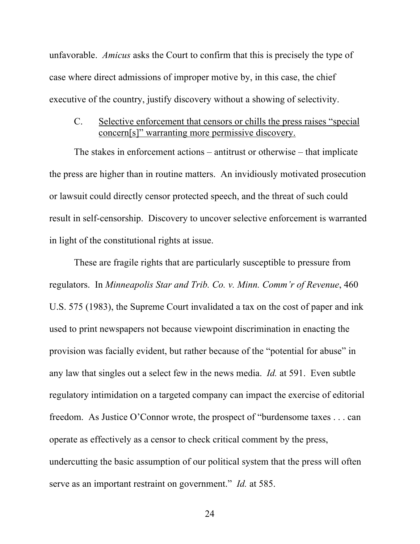unfavorable. *Amicus* asks the Court to confirm that this is precisely the type of case where direct admissions of improper motive by, in this case, the chief executive of the country, justify discovery without a showing of selectivity.

# C. Selective enforcement that censors or chills the press raises "special concern[s]" warranting more permissive discovery.

The stakes in enforcement actions – antitrust or otherwise – that implicate the press are higher than in routine matters. An invidiously motivated prosecution or lawsuit could directly censor protected speech, and the threat of such could result in self-censorship. Discovery to uncover selective enforcement is warranted in light of the constitutional rights at issue.

These are fragile rights that are particularly susceptible to pressure from regulators. In *Minneapolis Star and Trib. Co. v. Minn. Comm'r of Revenue*, 460 U.S. 575 (1983), the Supreme Court invalidated a tax on the cost of paper and ink used to print newspapers not because viewpoint discrimination in enacting the provision was facially evident, but rather because of the "potential for abuse" in any law that singles out a select few in the news media. *Id.* at 591.Even subtle regulatory intimidation on a targeted company can impact the exercise of editorial freedom. As Justice O'Connor wrote, the prospect of "burdensome taxes . . . can operate as effectively as a censor to check critical comment by the press, undercutting the basic assumption of our political system that the press will often serve as an important restraint on government." *Id.* at 585.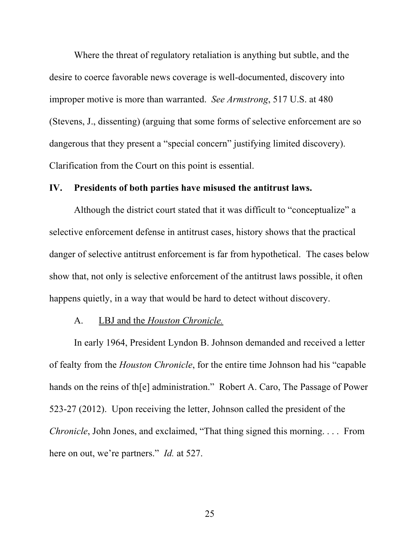Where the threat of regulatory retaliation is anything but subtle, and the desire to coerce favorable news coverage is well-documented, discovery into improper motive is more than warranted. *See Armstrong*, 517 U.S. at 480 (Stevens, J., dissenting) (arguing that some forms of selective enforcement are so dangerous that they present a "special concern" justifying limited discovery). Clarification from the Court on this point is essential.

## **IV. Presidents of both parties have misused the antitrust laws.**

Although the district court stated that it was difficult to "conceptualize" a selective enforcement defense in antitrust cases, history shows that the practical danger of selective antitrust enforcement is far from hypothetical. The cases below show that, not only is selective enforcement of the antitrust laws possible, it often happens quietly, in a way that would be hard to detect without discovery.

#### A. LBJ and the *Houston Chronicle.*

In early 1964, President Lyndon B. Johnson demanded and received a letter of fealty from the *Houston Chronicle*, for the entire time Johnson had his "capable hands on the reins of th[e] administration." Robert A. Caro, The Passage of Power 523-27 (2012). Upon receiving the letter, Johnson called the president of the *Chronicle*, John Jones, and exclaimed, "That thing signed this morning. . . . From here on out, we're partners." *Id.* at 527.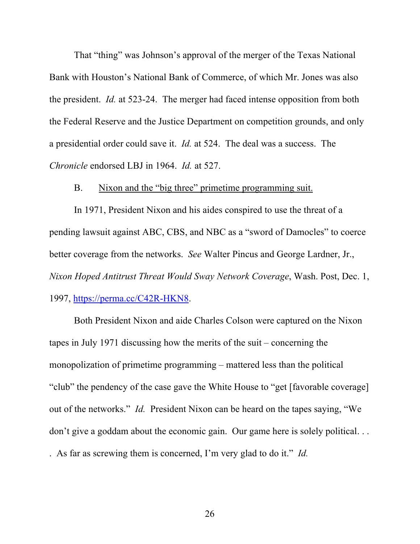That "thing" was Johnson's approval of the merger of the Texas National Bank with Houston's National Bank of Commerce, of which Mr. Jones was also the president. *Id.* at 523-24. The merger had faced intense opposition from both the Federal Reserve and the Justice Department on competition grounds, and only a presidential order could save it. *Id.* at 524. The deal was a success. The *Chronicle* endorsed LBJ in 1964. *Id.* at 527.

## B. Nixon and the "big three" primetime programming suit.

In 1971, President Nixon and his aides conspired to use the threat of a pending lawsuit against ABC, CBS, and NBC as a "sword of Damocles" to coerce better coverage from the networks. *See* Walter Pincus and George Lardner, Jr., *Nixon Hoped Antitrust Threat Would Sway Network Coverage*, Wash. Post, Dec. 1, 1997, https://perma.cc/C42R-HKN8.

Both President Nixon and aide Charles Colson were captured on the Nixon tapes in July 1971 discussing how the merits of the suit – concerning the monopolization of primetime programming – mattered less than the political "club" the pendency of the case gave the White House to "get [favorable coverage] out of the networks." *Id.* President Nixon can be heard on the tapes saying, "We don't give a goddam about the economic gain. Our game here is solely political...

. As far as screwing them is concerned, I'm very glad to do it." *Id.*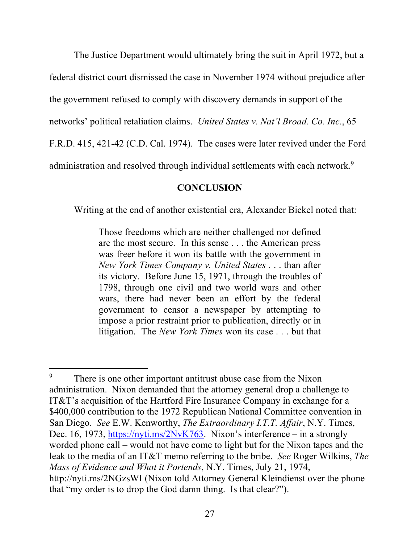The Justice Department would ultimately bring the suit in April 1972, but a federal district court dismissed the case in November 1974 without prejudice after the government refused to comply with discovery demands in support of the networks' political retaliation claims. *United States v. Nat'l Broad. Co. Inc.*, 65 F.R.D. 415, 421-42 (C.D. Cal. 1974). The cases were later revived under the Ford administration and resolved through individual settlements with each network.<sup>9</sup>

## **CONCLUSION**

Writing at the end of another existential era, Alexander Bickel noted that:

Those freedoms which are neither challenged nor defined are the most secure. In this sense . . . the American press was freer before it won its battle with the government in *New York Times Company v. United States* . . . than after its victory. Before June 15, 1971, through the troubles of 1798, through one civil and two world wars and other wars, there had never been an effort by the federal government to censor a newspaper by attempting to impose a prior restraint prior to publication, directly or in litigation. The *New York Times* won its case . . . but that

 $\overline{a}$ 

<sup>&</sup>lt;sup>9</sup> There is one other important antitrust abuse case from the Nixon administration. Nixon demanded that the attorney general drop a challenge to IT&T's acquisition of the Hartford Fire Insurance Company in exchange for a \$400,000 contribution to the 1972 Republican National Committee convention in San Diego. *See* E.W. Kenworthy, *The Extraordinary I.T.T. Affair*, N.Y. Times, Dec. 16, 1973, https://nyti.ms/2NvK763. Nixon's interference – in a strongly worded phone call – would not have come to light but for the Nixon tapes and the leak to the media of an IT&T memo referring to the bribe. *See* Roger Wilkins, *The Mass of Evidence and What it Portends*, N.Y. Times, July 21, 1974, http://nyti.ms/2NGzsWI (Nixon told Attorney General Kleindienst over the phone that "my order is to drop the God damn thing. Is that clear?").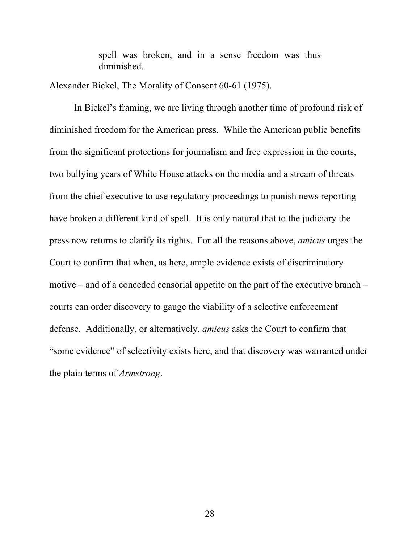spell was broken, and in a sense freedom was thus diminished.

Alexander Bickel, The Morality of Consent 60-61 (1975).

In Bickel's framing, we are living through another time of profound risk of diminished freedom for the American press. While the American public benefits from the significant protections for journalism and free expression in the courts, two bullying years of White House attacks on the media and a stream of threats from the chief executive to use regulatory proceedings to punish news reporting have broken a different kind of spell. It is only natural that to the judiciary the press now returns to clarify its rights. For all the reasons above, *amicus* urges the Court to confirm that when, as here, ample evidence exists of discriminatory motive – and of a conceded censorial appetite on the part of the executive branch – courts can order discovery to gauge the viability of a selective enforcement defense. Additionally, or alternatively, *amicus* asks the Court to confirm that "some evidence" of selectivity exists here, and that discovery was warranted under the plain terms of *Armstrong*.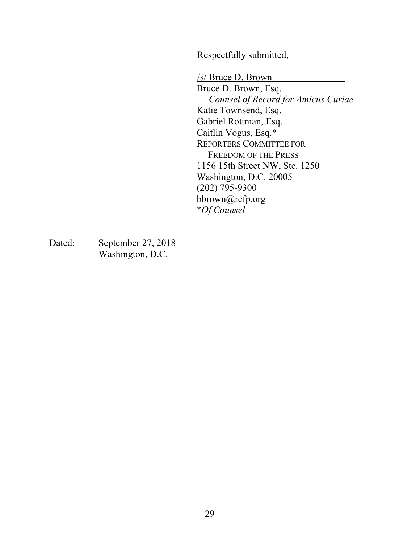Respectfully submitted,

/s/ Bruce D. Brown Bruce D. Brown, Esq. *Counsel of Record for Amicus Curiae* Katie Townsend, Esq. Gabriel Rottman, Esq. Caitlin Vogus, Esq.\* REPORTERS COMMITTEE FOR FREEDOM OF THE PRESS 1156 15th Street NW, Ste. 1250 Washington, D.C. 20005 (202) 795-9300 bbrown@rcfp.org \**Of Counsel*

Dated: September 27, 2018 Washington, D.C.